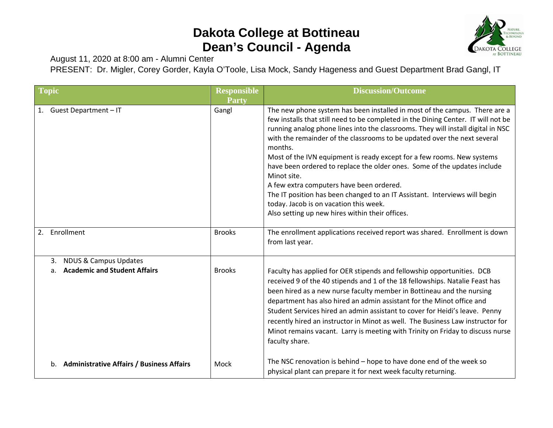## **Dakota College at Bottineau Dean's Council - Agenda**



August 11, 2020 at 8:00 am - Alumni Center

PRESENT: Dr. Migler, Corey Gorder, Kayla O'Toole, Lisa Mock, Sandy Hageness and Guest Department Brad Gangl, IT

| <b>Topic</b>                                                                        | <b>Responsible</b><br>Party | <b>Discussion/Outcome</b>                                                                                                                                                                                                                                                                                                                                                                                                                                                                                                                                                                                                                                                                                                              |
|-------------------------------------------------------------------------------------|-----------------------------|----------------------------------------------------------------------------------------------------------------------------------------------------------------------------------------------------------------------------------------------------------------------------------------------------------------------------------------------------------------------------------------------------------------------------------------------------------------------------------------------------------------------------------------------------------------------------------------------------------------------------------------------------------------------------------------------------------------------------------------|
| 1. Guest Department - IT                                                            | Gangl                       | The new phone system has been installed in most of the campus. There are a<br>few installs that still need to be completed in the Dining Center. IT will not be<br>running analog phone lines into the classrooms. They will install digital in NSC<br>with the remainder of the classrooms to be updated over the next several<br>months.<br>Most of the IVN equipment is ready except for a few rooms. New systems<br>have been ordered to replace the older ones. Some of the updates include<br>Minot site.<br>A few extra computers have been ordered.<br>The IT position has been changed to an IT Assistant. Interviews will begin<br>today. Jacob is on vacation this week.<br>Also setting up new hires within their offices. |
| Enrollment<br>2.                                                                    | <b>Brooks</b>               | The enrollment applications received report was shared. Enrollment is down<br>from last year.                                                                                                                                                                                                                                                                                                                                                                                                                                                                                                                                                                                                                                          |
| <b>NDUS &amp; Campus Updates</b><br>3.<br><b>Academic and Student Affairs</b><br>a. | <b>Brooks</b>               | Faculty has applied for OER stipends and fellowship opportunities. DCB<br>received 9 of the 40 stipends and 1 of the 18 fellowships. Natalie Feast has<br>been hired as a new nurse faculty member in Bottineau and the nursing<br>department has also hired an admin assistant for the Minot office and<br>Student Services hired an admin assistant to cover for Heidi's leave. Penny<br>recently hired an instructor in Minot as well. The Business Law instructor for<br>Minot remains vacant. Larry is meeting with Trinity on Friday to discuss nurse<br>faculty share.                                                                                                                                                          |
| b. Administrative Affairs / Business Affairs                                        | Mock                        | The NSC renovation is behind - hope to have done end of the week so<br>physical plant can prepare it for next week faculty returning.                                                                                                                                                                                                                                                                                                                                                                                                                                                                                                                                                                                                  |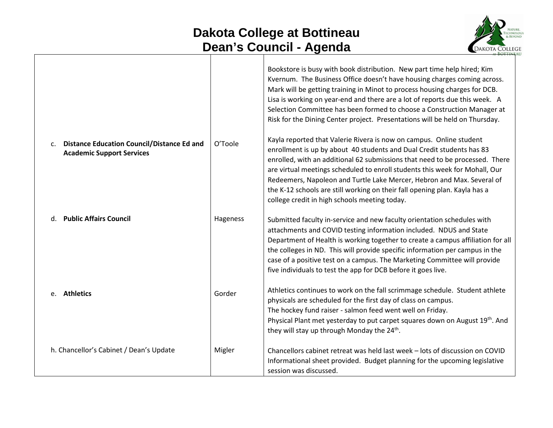## **Dakota College at Bottineau Dean's Council - Agenda**



|                                                                                       |          | Bookstore is busy with book distribution. New part time help hired; Kim<br>Kvernum. The Business Office doesn't have housing charges coming across.<br>Mark will be getting training in Minot to process housing charges for DCB.<br>Lisa is working on year-end and there are a lot of reports due this week. A<br>Selection Committee has been formed to choose a Construction Manager at<br>Risk for the Dining Center project. Presentations will be held on Thursday.                                           |
|---------------------------------------------------------------------------------------|----------|----------------------------------------------------------------------------------------------------------------------------------------------------------------------------------------------------------------------------------------------------------------------------------------------------------------------------------------------------------------------------------------------------------------------------------------------------------------------------------------------------------------------|
| <b>Distance Education Council/Distance Ed and</b><br><b>Academic Support Services</b> | O'Toole  | Kayla reported that Valerie Rivera is now on campus. Online student<br>enrollment is up by about 40 students and Dual Credit students has 83<br>enrolled, with an additional 62 submissions that need to be processed. There<br>are virtual meetings scheduled to enroll students this week for Mohall, Our<br>Redeemers, Napoleon and Turtle Lake Mercer, Hebron and Max. Several of<br>the K-12 schools are still working on their fall opening plan. Kayla has a<br>college credit in high schools meeting today. |
| d. Public Affairs Council                                                             | Hageness | Submitted faculty in-service and new faculty orientation schedules with<br>attachments and COVID testing information included. NDUS and State<br>Department of Health is working together to create a campus affiliation for all<br>the colleges in ND. This will provide specific information per campus in the<br>case of a positive test on a campus. The Marketing Committee will provide<br>five individuals to test the app for DCB before it goes live.                                                       |
| e. Athletics                                                                          | Gorder   | Athletics continues to work on the fall scrimmage schedule. Student athlete<br>physicals are scheduled for the first day of class on campus.<br>The hockey fund raiser - salmon feed went well on Friday.<br>Physical Plant met yesterday to put carpet squares down on August 19th. And<br>they will stay up through Monday the 24 <sup>th</sup> .                                                                                                                                                                  |
| h. Chancellor's Cabinet / Dean's Update                                               | Migler   | Chancellors cabinet retreat was held last week - lots of discussion on COVID<br>Informational sheet provided. Budget planning for the upcoming legislative<br>session was discussed.                                                                                                                                                                                                                                                                                                                                 |